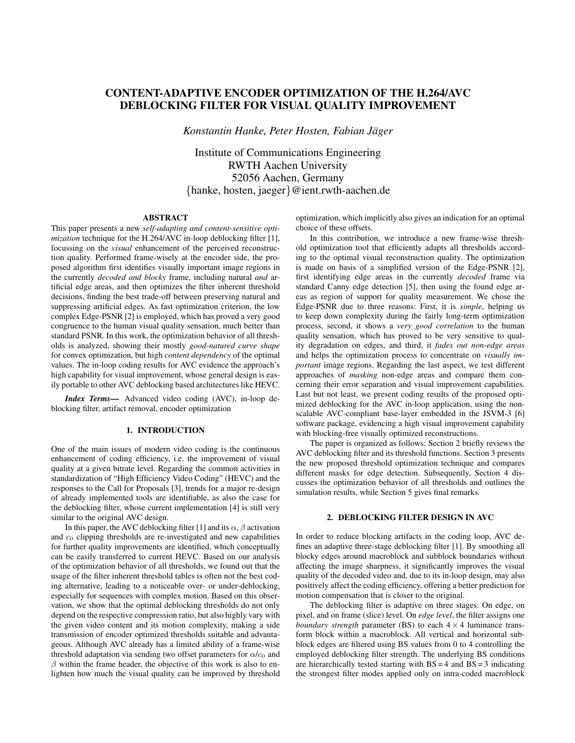# CONTENT-ADAPTIVE ENCODER OPTIMIZATION OF THE H.264/AVC DEBLOCKING FILTER FOR VISUAL QUALITY IMPROVEMENT

*Konstantin Hanke, Peter Hosten, Fabian Jager ¨*

Institute of Communications Engineering RWTH Aachen University 52056 Aachen, Germany {hanke, hosten, jaeger}@ient.rwth-aachen.de

# ABSTRACT

This paper presents a new *self-adapting and content-sensitive optimization* technique for the H.264/AVC in-loop deblocking filter [1], focussing on the *visual* enhancement of the perceived reconstruction quality. Performed frame-wisely at the encoder side, the proposed algorithm first identifies visually important image regions in the currently *decoded and blocky* frame, including natural *and* artificial edge areas, and then optimizes the filter inherent threshold decisions, finding the best trade-off between preserving natural and suppressing artificial edges. As fast optimization criterion, the low complex Edge-PSNR [2] is employed, which has proved a very good congruence to the human visual quality sensation, much better than standard PSNR. In this work, the optimization behavior of all thresholds is analyzed, showing their mostly *good-natured curve shape* for convex optimization, but high *content dependency* of the optimal values. The in-loop coding results for AVC evidence the approach's high capability for visual improvement, whose general design is easily portable to other AVC deblocking based architectures like HEVC.

*Index Terms*— Advanced video coding (AVC), in-loop deblocking filter, artifact removal, encoder optimization

#### 1. INTRODUCTION

One of the main issues of modern video coding is the continuous enhancement of coding efficiency, i.e. the improvement of visual quality at a given bitrate level. Regarding the common activities in standardization of "High Efficiency Video Coding" (HEVC) and the responses to the Call for Proposals [3], trends for a major re-design of already implemented tools are identifiable, as also the case for the deblocking filter, whose current implementation [4] is still very similar to the original AVC design.

In this paper, the AVC deblocking filter [1] and its  $\alpha$ ,  $\beta$  activation and  $c_0$  clipping thresholds are re-investigated and new capabilities for further quality improvements are identified, which conceptually can be easily transferred to current HEVC. Based on our analysis of the optimization behavior of all thresholds, we found out that the usage of the filter inherent threshold tables is often not the best coding alternative, leading to a noticeable over- or under-deblocking, especially for sequences with complex motion. Based on this observation, we show that the optimal deblocking thresholds do not only depend on the respective compression ratio, but also highly vary with the given video content and its motion complexity, making a side transmission of encoder optimized thresholds suitable and advantageous. Although AVC already has a limited ability of a frame-wise threshold adaptation via sending two offset parameters for  $\alpha/c_0$  and  $\beta$  within the frame header, the objective of this work is also to enlighten how much the visual quality can be improved by threshold optimization, which implicitly also gives an indication for an optimal choice of these offsets.

In this contribution, we introduce a new frame-wise threshold optimization tool that efficiently adapts all thresholds according to the optimal visual reconstruction quality. The optimization is made on basis of a simplified version of the Edge-PSNR [2], first identifying edge areas in the currently *decoded* frame via standard Canny edge detection [5], then using the found edge areas as region of support for quality measurement. We chose the Edge-PSNR due to three reasons: First, it is *simple*, helping us to keep down complexity during the fairly long-term optimization process, second, it shows a *very good correlation* to the human quality sensation, which has proved to be very sensitive to quality degradation on edges, and third, it *fades out non-edge areas* and helps the optimization process to concentrate on *visually important* image regions. Regarding the last aspect, we test different approaches of *masking* non-edge areas and compare them concerning their error separation and visual improvement capabilities. Last but not least, we present coding results of the proposed optimized deblocking for the AVC in-loop application, using the nonscalable AVC-compliant base-layer embedded in the JSVM-3 [6] software package, evidencing a high visual improvement capability with blocking-free visually optimized reconstructions.

The paper is organized as follows: Section 2 briefly reviews the AVC deblocking filter and its threshold functions. Section 3 presents the new proposed threshold optimization technique and compares different masks for edge detection. Subsequently, Section 4 discusses the optimization behavior of all thresholds and outlines the simulation results, while Section 5 gives final remarks.

# 2. DEBLOCKING FILTER DESIGN IN AVC

In order to reduce blocking artifacts in the coding loop, AVC defines an adaptive three-stage deblocking filter [1]. By smoothing all blocky edges around macroblock and subblock boundaries without affecting the image sharpness, it significantly improves the visual quality of the decoded video and, due to its in-loop design, may also positively affect the coding efficiency, offering a better prediction for motion compensation that is closer to the original.

The deblocking filter is adaptive on three stages: On edge, on pixel, and on frame (slice) level. On *edge level*, the filter assigns one *boundary strength* parameter (BS) to each  $4 \times 4$  luminance transform block within a macroblock. All vertical and horizontal subblock edges are filtered using BS values from 0 to 4 controlling the employed deblocking filter strength. The underlying BS conditions are hierarchically tested starting with  $BS = 4$  and  $BS = 3$  indicating the strongest filter modes applied only on intra-coded macroblock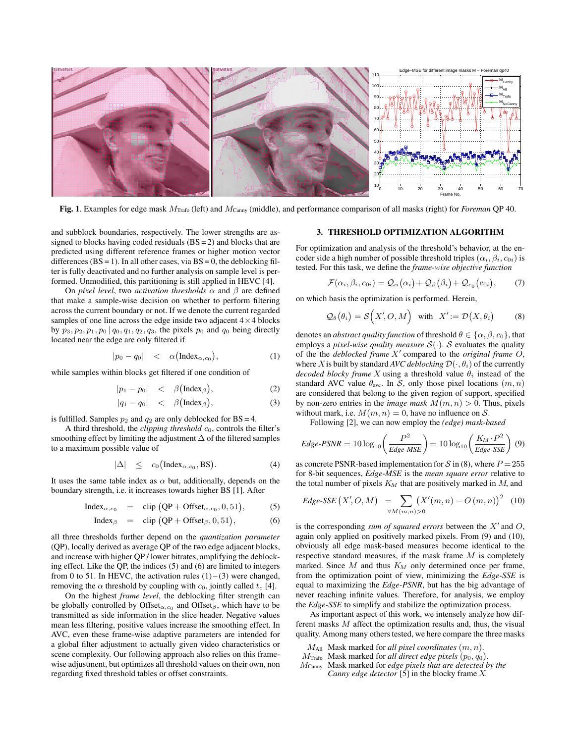

Fig. 1. Examples for edge mask MTrafo (left) and MCanny (middle), and performance comparison of all masks (right) for *Foreman* QP 40.

and subblock boundaries, respectively. The lower strengths are assigned to blocks having coded residuals  $(BS = 2)$  and blocks that are predicted using different reference frames or higher motion vector differences ( $BS = 1$ ). In all other cases, via  $BS = 0$ , the deblocking filter is fully deactivated and no further analysis on sample level is performed. Unmodified, this partitioning is still applied in HEVC [4].

On *pixel level*, two *activation thresholds*  $\alpha$  and  $\beta$  are defined that make a sample-wise decision on whether to perform filtering across the current boundary or not. If we denote the current regarded samples of one line across the edge inside two adjacent  $4 \times 4$  blocks by  $p_3, p_2, p_1, p_0 | q_0, q_1, q_2, q_3$ , the pixels  $p_0$  and  $q_0$  being directly located near the edge are only filtered if

$$
|p_0 - q_0| < \alpha\left(\text{Index}_{\alpha, c_0}\right), \tag{1}
$$

while samples within blocks get filtered if one condition of

$$
|p_1 - p_0| < \beta\big(\text{Index}_{\beta}\big),\tag{2}
$$

$$
|q_1 - q_0| < \beta\left(\text{Index}_{\beta}\right), \tag{3}
$$

is fulfilled. Samples  $p_2$  and  $q_2$  are only deblocked for BS = 4.

A third threshold, the *clipping threshold*  $c_0$ , controls the filter's smoothing effect by limiting the adjustment  $\Delta$  of the filtered samples to a maximum possible value of

$$
|\Delta| \le c_0 \big( \text{Index}_{\alpha, c_0}, \text{BS} \big). \tag{4}
$$

It uses the same table index as  $\alpha$  but, additionally, depends on the boundary strength, i.e. it increases towards higher BS [1]. After

$$
Index_{\alpha,c_0} = \text{clip}(QP + \text{Offset}_{\alpha,c_0}, 0, 51), \quad (5)
$$

$$
Index_{\beta} = \text{clip}(QP + \text{Offset}_{\beta}, 0, 51), \tag{6}
$$

all three thresholds further depend on the *quantization parameter* (QP), locally derived as average QP of the two edge adjacent blocks, and increase with higher QP / lower bitrates, amplifying the deblocking effect. Like the QP, the indices (5) and (6) are limited to integers from 0 to 51. In HEVC, the activation rules  $(1)$  –  $(3)$  were changed, removing the  $\alpha$  threshold by coupling with  $c_0$ , jointly called  $t_c$  [4].

On the highest *frame level*, the deblocking filter strength can be globally controlled by Offset<sub> $\alpha$ , $c_0$ </sub> and Offset<sub> $\beta$ </sub>, which have to be transmitted as side information in the slice header. Negative values mean less filtering, positive values increase the smoothing effect. In AVC, even these frame-wise adaptive parameters are intended for a global filter adjustment to actually given video characteristics or scene complexity. Our following approach also relies on this framewise adjustment, but optimizes all threshold values on their own, non regarding fixed threshold tables or offset constraints.

## 3. THRESHOLD OPTIMIZATION ALGORITHM

For optimization and analysis of the threshold's behavior, at the encoder side a high number of possible threshold triples  $(\alpha_i, \beta_i, c_{0i})$  is tested. For this task, we define the *frame-wise objective function*

$$
\mathcal{F}(\alpha_i,\beta_i,c_{0i})=\mathcal{Q}_{\alpha}(\alpha_i)+\mathcal{Q}_{\beta}(\beta_i)+\mathcal{Q}_{c_0}(c_{0i}),\qquad(7)
$$

on which basis the optimization is performed. Herein,

$$
\mathcal{Q}_{\theta}(\theta_i) = \mathcal{S}\Big(X', O, M\Big) \quad \text{with} \quad X' := \mathcal{D}\big(X, \theta_i\big) \tag{8}
$$

denotes an *abstract quality function* of threshold  $\theta \in {\alpha, \beta, c_0}$ , that employs a *pixel-wise quality measure*  $S(\cdot)$ . S evaluates the quality of the the *deblocked frame* X' compared to the *original frame* O, where X is built by standard *AVC deblocking*  $\mathcal{D}(\cdot, \theta_i)$  of the currently *decoded blocky frame* X using a threshold value  $\theta_i$  instead of the standard AVC value  $\theta_{\text{ave}}$ . In S, only those pixel locations  $(m, n)$ are considered that belong to the given region of support, specified by non-zero entries in the *image mask*  $M(m, n) > 0$ . Thus, pixels without mark, i.e.  $M(m, n) = 0$ , have no influence on S.

Following [2], we can now employ the *(edge) mask-based*

$$
Edge\text{-PSNR} = 10\log_{10}\left(\frac{P^2}{Edge\text{-MSE}}\right) = 10\log_{10}\left(\frac{K_M \cdot P^2}{Edge\text{-SSE}}\right) (9)
$$

as concrete PSNR-based implementation for S in (8), where  $P = 255$ for 8-bit sequences, *Edge-MSE* is the *mean square error* relative to the total number of pixels  $K_M$  that are positively marked in  $M$ , and

$$
Edge\text{-}SSE(X', O, M) = \sum_{\forall M(m,n) > 0} (X'(m,n) - O(m,n))^2
$$
 (10)

is the corresponding *sum of squared errors* between the  $X'$  and  $O$ , again only applied on positively marked pixels. From (9) and (10), obviously all edge mask-based measures become identical to the respective standard measures, if the mask frame  $M$  is completely marked. Since  $M$  and thus  $K_M$  only determined once per frame, from the optimization point of view, minimizing the *Edge-SSE* is equal to maximizing the *Edge-PSNR*, but has the big advantage of never reaching infinite values. Therefore, for analysis, we employ the *Edge-SSE* to simplify and stabilize the optimization process.

As important aspect of this work, we intensely analyze how different masks M affect the optimization results and, thus, the visual quality. Among many others tested, we here compare the three masks

- MAll Mask marked for *all pixel coordinates* (m, n).
- $M_{\text{Trafo}}$  Mask marked for *all direct edge pixels*  $(p_0, q_0)$ .
- MCanny Mask marked for *edge pixels that are detected by the Canny edge detector* [5] in the blocky frame X.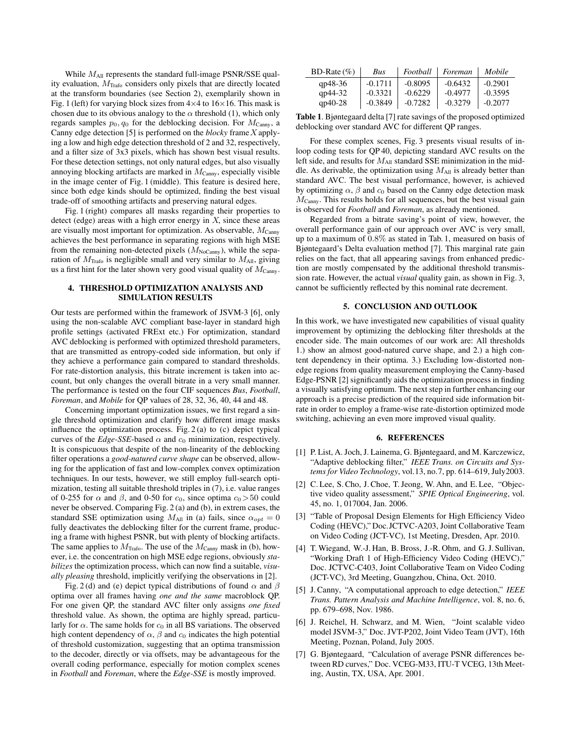While  $M_{\text{All}}$  represents the standard full-image PSNR/SSE quality evaluation,  $M<sub>Trafo</sub>$  considers only pixels that are directly located at the transform boundaries (see Section 2), exemplarily shown in Fig. 1 (left) for varying block sizes from  $4\times4$  to  $16\times16$ . This mask is chosen due to its obvious analogy to the  $\alpha$  threshold (1), which only regards samples  $p_0$ ,  $q_0$  for the deblocking decision. For  $M_{\text{Canny}}$ , a Canny edge detection [5] is performed on the *blocky* frame X applying a low and high edge detection threshold of 2 and 32, respectively, and a filter size of 3x3 pixels, which has shown best visual results. For these detection settings, not only natural edges, but also visually annoying blocking artifacts are marked in  $M_{\text{Canny}}$ , especially visible in the image center of Fig. 1 (middle). This feature is desired here, since both edge kinds should be optimized, finding the best visual trade-off of smoothing artifacts and preserving natural edges.

Fig. 1 (right) compares all masks regarding their properties to detect (edge) areas with a high error energy in  $X$ , since these areas are visually most important for optimization. As observable,  $M_{\text{Cam}}$ achieves the best performance in separating regions with high MSE from the remaining non-detected pixels  $(M_{NoCam}$ , while the separation of  $M<sub>Trafo</sub>$  is negligible small and very similar to  $M<sub>All</sub>$ , giving us a first hint for the later shown very good visual quality of  $M_{\text{Canny}}$ .

# 4. THRESHOLD OPTIMIZATION ANALYSIS AND SIMULATION RESULTS

Our tests are performed within the framework of JSVM-3 [6], only using the non-scalable AVC compliant base-layer in standard high profile settings (activated FRExt etc.) For optimization, standard AVC deblocking is performed with optimized threshold parameters, that are transmitted as entropy-coded side information, but only if they achieve a performance gain compared to standard thresholds. For rate-distortion analysis, this bitrate increment is taken into account, but only changes the overall bitrate in a very small manner. The performance is tested on the four CIF sequences *Bus*, *Football*, *Foreman*, and *Mobile* for QP values of 28, 32, 36, 40, 44 and 48.

Concerning important optimization issues, we first regard a single threshold optimization and clarify how different image masks influence the optimization process. Fig. 2 (a) to (c) depict typical curves of the *Edge-SSE*-based  $\alpha$  and  $c_0$  minimization, respectively. It is conspicuous that despite of the non-linearity of the deblocking filter operations a *good-natured curve shape* can be observed, allowing for the application of fast and low-complex convex optimization techniques. In our tests, however, we still employ full-search optimization, testing all suitable threshold triples in (7), i.e. value ranges of 0-255 for  $\alpha$  and  $\beta$ , and 0-50 for  $c_0$ , since optima  $c_0 > 50$  could never be observed. Comparing Fig. 2 (a) and (b), in extrem cases, the standard SSE optimization using  $M_{\text{All}}$  in (a) fails, since  $\alpha_{opt} = 0$ fully deactivates the deblocking filter for the current frame, producing a frame with highest PSNR, but with plenty of blocking artifacts. The same applies to  $M_{\text{Trafo}}$ . The use of the  $M_{\text{Canny}}$  mask in (b), however, i.e. the concentration on high MSE edge regions, obviously *stabilizes* the optimization process, which can now find a suitable, *visually pleasing* threshold, implicitly verifying the observations in [2].

Fig. 2 (d) and (e) depict typical distributions of found  $\alpha$  and  $\beta$ optima over all frames having *one and the same* macroblock QP. For one given QP, the standard AVC filter only assigns *one fixed* threshold value. As shown, the optima are highly spread, particularly for  $\alpha$ . The same holds for  $c_0$  in all BS variations. The observed high content dependency of  $\alpha$ ,  $\beta$  and  $c_0$  indicates the high potential of threshold customization, suggesting that an optima transmission to the decoder, directly or via offsets, may be advantageous for the overall coding performance, especially for motion complex scenes in *Football* and *Foreman*, where the *Edge-SSE* is mostly improved.

| BD-Rate $(\% )$ | Bus       | Football  | Foreman   | Mobile    |
|-----------------|-----------|-----------|-----------|-----------|
| $qp48-36$       | $-0.1711$ | $-0.8095$ | $-0.6432$ | $-0.2901$ |
| $qp44-32$       | $-0.3321$ | $-0.6229$ | $-0.4977$ | $-0.3595$ |
| $qp40-28$       | $-0.3849$ | $-0.7282$ | $-0.3279$ | $-0.2077$ |

Table 1. Bjøntegaard delta [7] rate savings of the proposed optimized deblocking over standard AVC for different QP ranges.

For these complex scenes, Fig. 3 presents visual results of inloop coding tests for QP 40, depicting standard AVC results on the left side, and results for  $M_{\text{All}}$  standard SSE minimization in the middle. As derivable, the optimization using  $M_{\text{All}}$  is already better than standard AVC. The best visual performance, however, is achieved by optimizing  $\alpha$ ,  $\beta$  and  $c_0$  based on the Canny edge detection mask  $M_{\text{Canny}}$ . This results holds for all sequences, but the best visual gain is observed for *Football* and *Foreman*, as already mentioned.

Regarded from a bitrate saving's point of view, however, the overall performance gain of our approach over AVC is very small, up to a maximum of 0.8% as stated in Tab. 1, measured on basis of Bjøntegaard's Delta evaluation method [7]. This marginal rate gain relies on the fact, that all appearing savings from enhanced prediction are mostly compensated by the additional threshold transmission rate. However, the actual *visual* quality gain, as shown in Fig. 3, cannot be sufficiently reflected by this nominal rate decrement.

### 5. CONCLUSION AND OUTLOOK

In this work, we have investigated new capabilities of visual quality improvement by optimizing the deblocking filter thresholds at the encoder side. The main outcomes of our work are: All thresholds 1.) show an almost good-natured curve shape, and 2.) a high content dependency in their optima. 3.) Excluding low-distorted nonedge regions from quality measurement employing the Canny-based Edge-PSNR [2] significantly aids the optimization process in finding a visually satisfying optimum. The next step in further enhancing our approach is a precise prediction of the required side information bitrate in order to employ a frame-wise rate-distortion optimized mode switching, achieving an even more improved visual quality.

## 6. REFERENCES

- [1] P. List, A. Joch, J. Lainema, G. Bjøntegaard, and M. Karczewicz, "Adaptive deblocking filter," *IEEE Trans. on Circuits and Systems for Video Technology*, vol.13, no.7, pp. 614–619, July2003.
- [2] C. Lee, S. Cho, J. Choe, T. Jeong, W. Ahn, and E. Lee, "Objective video quality assessment," *SPIE Optical Engineering*, vol. 45, no. 1, 017004, Jan. 2006.
- [3] "Table of Proposal Design Elements for High Efficiency Video Coding (HEVC)," Doc.JCTVC-A203, Joint Collaborative Team on Video Coding (JCT-VC), 1st Meeting, Dresden, Apr. 2010.
- [4] T. Wiegand, W.-J. Han, B. Bross, J.-R. Ohm, and G. J. Sullivan, "Working Draft 1 of High-Efficiency Video Coding (HEVC)," Doc. JCTVC-C403, Joint Collaborative Team on Video Coding (JCT-VC), 3rd Meeting, Guangzhou, China, Oct. 2010.
- [5] J. Canny, "A computational approach to edge detection," *IEEE Trans. Pattern Analysis and Machine Intelligence*, vol. 8, no. 6, pp. 679–698, Nov. 1986.
- [6] J. Reichel, H. Schwarz, and M. Wien, "Joint scalable video model JSVM-3," Doc. JVT-P202, Joint Video Team (JVT), 16th Meeting, Poznan, Poland, July 2005.
- [7] G. Bjøntegaard, "Calculation of average PSNR differences between RD curves," Doc. VCEG-M33, ITU-T VCEG, 13th Meeting, Austin, TX, USA, Apr. 2001.